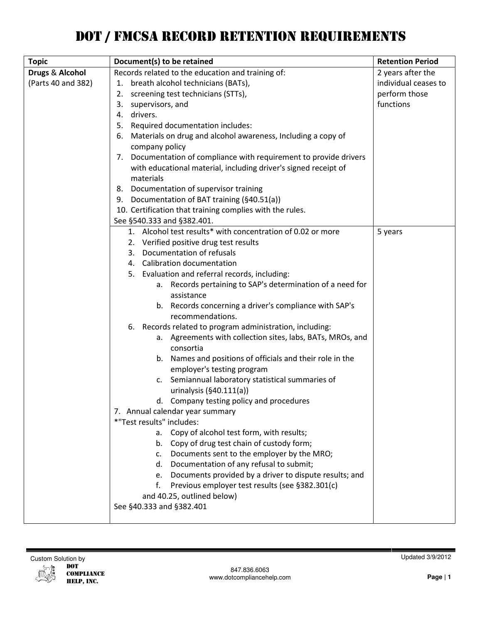# DOT / FMCSA RECORD RETENTION REQUIREMENTS

| <b>Topic</b>               | Document(s) to be retained                                              | <b>Retention Period</b> |
|----------------------------|-------------------------------------------------------------------------|-------------------------|
| <b>Drugs &amp; Alcohol</b> | Records related to the education and training of:                       | 2 years after the       |
| (Parts 40 and 382)         | breath alcohol technicians (BATs),<br>1.                                | individual ceases to    |
|                            | screening test technicians (STTs),<br>2.                                | perform those           |
|                            | supervisors, and<br>3.                                                  | functions               |
|                            | 4. drivers.                                                             |                         |
|                            | 5. Required documentation includes:                                     |                         |
|                            | Materials on drug and alcohol awareness, Including a copy of<br>6.      |                         |
|                            | company policy                                                          |                         |
|                            | 7. Documentation of compliance with requirement to provide drivers      |                         |
|                            | with educational material, including driver's signed receipt of         |                         |
|                            | materials                                                               |                         |
|                            | 8. Documentation of supervisor training                                 |                         |
|                            | 9. Documentation of BAT training (§40.51(a))                            |                         |
|                            | 10. Certification that training complies with the rules.                |                         |
|                            | See §540.333 and §382.401.                                              |                         |
|                            | 1. Alcohol test results* with concentration of 0.02 or more             | 5 years                 |
|                            | 2. Verified positive drug test results                                  |                         |
|                            | 3. Documentation of refusals                                            |                         |
|                            | 4. Calibration documentation                                            |                         |
|                            | 5. Evaluation and referral records, including:                          |                         |
|                            | a. Records pertaining to SAP's determination of a need for              |                         |
|                            | assistance                                                              |                         |
|                            | Records concerning a driver's compliance with SAP's<br>b.               |                         |
|                            | recommendations.                                                        |                         |
|                            | Records related to program administration, including:<br>6.             |                         |
|                            | a. Agreements with collection sites, labs, BATs, MROs, and<br>consortia |                         |
|                            | b. Names and positions of officials and their role in the               |                         |
|                            | employer's testing program                                              |                         |
|                            | Semiannual laboratory statistical summaries of<br>c.                    |                         |
|                            | urinalysis $(§40.111(a))$                                               |                         |
|                            | d. Company testing policy and procedures                                |                         |
|                            | 7. Annual calendar year summary                                         |                         |
|                            | *"Test results" includes:                                               |                         |
|                            | a. Copy of alcohol test form, with results;                             |                         |
|                            | b. Copy of drug test chain of custody form;                             |                         |
|                            | c. Documents sent to the employer by the MRO;                           |                         |
|                            | d. Documentation of any refusal to submit;                              |                         |
|                            | e. Documents provided by a driver to dispute results; and               |                         |
|                            | Previous employer test results (see §382.301(c)<br>f.                   |                         |
|                            | and 40.25, outlined below)                                              |                         |
|                            | See §40.333 and §382.401                                                |                         |
|                            |                                                                         |                         |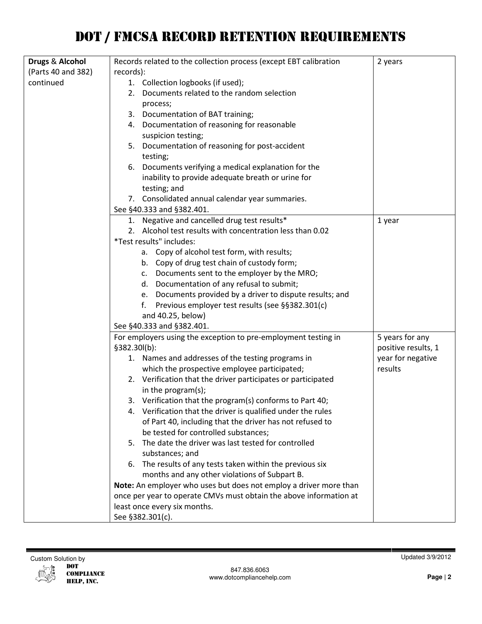| Drugs & Alcohol    | Records related to the collection process (except EBT calibration  | 2 years             |
|--------------------|--------------------------------------------------------------------|---------------------|
| (Parts 40 and 382) | records):                                                          |                     |
| continued          | 1. Collection logbooks (if used);                                  |                     |
|                    | 2. Documents related to the random selection                       |                     |
|                    | process;                                                           |                     |
|                    | 3. Documentation of BAT training;                                  |                     |
|                    | 4. Documentation of reasoning for reasonable                       |                     |
|                    | suspicion testing;                                                 |                     |
|                    | 5. Documentation of reasoning for post-accident                    |                     |
|                    | testing;                                                           |                     |
|                    | Documents verifying a medical explanation for the<br>6.            |                     |
|                    | inability to provide adequate breath or urine for                  |                     |
|                    | testing; and                                                       |                     |
|                    | 7. Consolidated annual calendar year summaries.                    |                     |
|                    | See §40.333 and §382.401.                                          |                     |
|                    | 1. Negative and cancelled drug test results*                       | 1 year              |
|                    | 2. Alcohol test results with concentration less than 0.02          |                     |
|                    | *Test results" includes:                                           |                     |
|                    | a. Copy of alcohol test form, with results;                        |                     |
|                    | b. Copy of drug test chain of custody form;                        |                     |
|                    | c. Documents sent to the employer by the MRO;                      |                     |
|                    | d. Documentation of any refusal to submit;                         |                     |
|                    | e. Documents provided by a driver to dispute results; and          |                     |
|                    | Previous employer test results (see §§382.301(c)<br>f.             |                     |
|                    | and 40.25, below)                                                  |                     |
|                    | See §40.333 and §382.401.                                          |                     |
|                    | For employers using the exception to pre-employment testing in     | 5 years for any     |
|                    | §382.30l(b):                                                       | positive results, 1 |
|                    | 1. Names and addresses of the testing programs in                  | year for negative   |
|                    | which the prospective employee participated;                       | results             |
|                    | 2. Verification that the driver participates or participated       |                     |
|                    | in the program(s);                                                 |                     |
|                    | 3. Verification that the program(s) conforms to Part 40;           |                     |
|                    | Verification that the driver is qualified under the rules<br>4.    |                     |
|                    | of Part 40, including that the driver has not refused to           |                     |
|                    | be tested for controlled substances;                               |                     |
|                    | 5. The date the driver was last tested for controlled              |                     |
|                    | substances; and                                                    |                     |
|                    | The results of any tests taken within the previous six<br>6.       |                     |
|                    | months and any other violations of Subpart B.                      |                     |
|                    | Note: An employer who uses but does not employ a driver more than  |                     |
|                    | once per year to operate CMVs must obtain the above information at |                     |
|                    | least once every six months.                                       |                     |
|                    | See §382.301(c).                                                   |                     |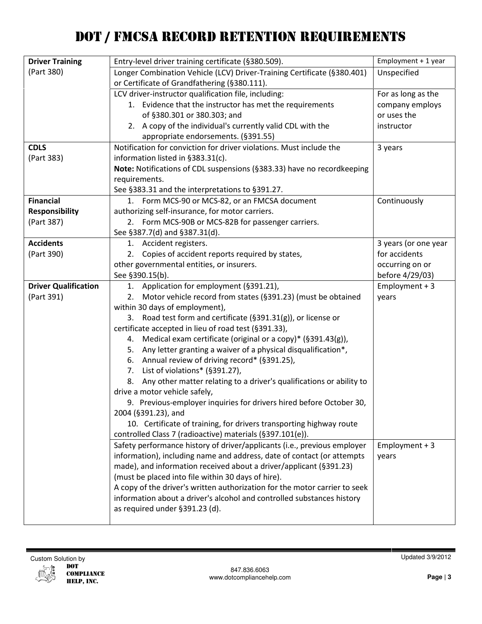| <b>Driver Training</b>      | Entry-level driver training certificate (§380.509).                                                                        | Employment + 1 year  |
|-----------------------------|----------------------------------------------------------------------------------------------------------------------------|----------------------|
| (Part 380)                  | Longer Combination Vehicle (LCV) Driver-Training Certificate (§380.401)                                                    | Unspecified          |
|                             | or Certificate of Grandfathering (§380.111).                                                                               |                      |
|                             | LCV driver-instructor qualification file, including:                                                                       | For as long as the   |
|                             | 1. Evidence that the instructor has met the requirements                                                                   | company employs      |
|                             | of §380.301 or 380.303; and                                                                                                | or uses the          |
|                             | 2. A copy of the individual's currently valid CDL with the                                                                 | instructor           |
|                             | appropriate endorsements. (§391.55)                                                                                        |                      |
| <b>CDLS</b>                 | Notification for conviction for driver violations. Must include the                                                        | 3 years              |
| (Part 383)                  | information listed in §383.31(c).                                                                                          |                      |
|                             | Note: Notifications of CDL suspensions (§383.33) have no recordkeeping                                                     |                      |
|                             | requirements.                                                                                                              |                      |
|                             | See §383.31 and the interpretations to §391.27.                                                                            |                      |
| <b>Financial</b>            | 1. Form MCS-90 or MCS-82, or an FMCSA document                                                                             | Continuously         |
| <b>Responsibility</b>       | authorizing self-insurance, for motor carriers.                                                                            |                      |
| (Part 387)                  | 2. Form MCS-90B or MCS-82B for passenger carriers.                                                                         |                      |
|                             | See §387.7(d) and §387.31(d).                                                                                              |                      |
| <b>Accidents</b>            | 1. Accident registers.                                                                                                     | 3 years (or one year |
| (Part 390)                  | Copies of accident reports required by states,<br>2.                                                                       | for accidents        |
|                             | other governmental entities, or insurers.                                                                                  | occurring on or      |
|                             | See §390.15(b).                                                                                                            | before 4/29/03)      |
| <b>Driver Qualification</b> | 1. Application for employment (§391.21),                                                                                   | Employment $+3$      |
| (Part 391)                  | 2. Motor vehicle record from states (§391.23) (must be obtained                                                            | years                |
|                             | within 30 days of employment),                                                                                             |                      |
|                             | 3. Road test form and certificate (§391.31(g)), or license or                                                              |                      |
|                             | certificate accepted in lieu of road test (§391.33),<br>Medical exam certificate (original or a copy)* (§391.43(g)),<br>4. |                      |
|                             | Any letter granting a waiver of a physical disqualification*,<br>5.                                                        |                      |
|                             | 6. Annual review of driving record* (§391.25),                                                                             |                      |
|                             | 7. List of violations* (§391.27),                                                                                          |                      |
|                             | Any other matter relating to a driver's qualifications or ability to<br>8.                                                 |                      |
|                             | drive a motor vehicle safely,                                                                                              |                      |
|                             | 9. Previous-employer inquiries for drivers hired before October 30,                                                        |                      |
|                             | 2004 (§391.23), and                                                                                                        |                      |
|                             | 10. Certificate of training, for drivers transporting highway route                                                        |                      |
|                             | controlled Class 7 (radioactive) materials (§397.101(e)).                                                                  |                      |
|                             | Safety performance history of driver/applicants (i.e., previous employer                                                   | Employment $+3$      |
|                             | information), including name and address, date of contact (or attempts                                                     | years                |
|                             | made), and information received about a driver/applicant (§391.23)                                                         |                      |
|                             | (must be placed into file within 30 days of hire).                                                                         |                      |
|                             | A copy of the driver's written authorization for the motor carrier to seek                                                 |                      |
|                             | information about a driver's alcohol and controlled substances history                                                     |                      |
|                             | as required under §391.23 (d).                                                                                             |                      |
|                             |                                                                                                                            |                      |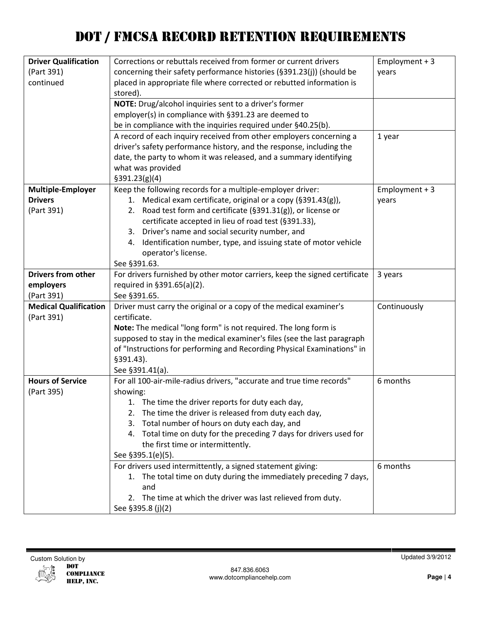| <b>Driver Qualification</b>  | Corrections or rebuttals received from former or current drivers           | Employment $+3$ |
|------------------------------|----------------------------------------------------------------------------|-----------------|
| (Part 391)                   | concerning their safety performance histories (§391.23(j)) (should be      | years           |
| continued                    | placed in appropriate file where corrected or rebutted information is      |                 |
|                              | stored).                                                                   |                 |
|                              | NOTE: Drug/alcohol inquiries sent to a driver's former                     |                 |
|                              | employer(s) in compliance with §391.23 are deemed to                       |                 |
|                              | be in compliance with the inquiries required under §40.25(b).              |                 |
|                              | A record of each inquiry received from other employers concerning a        | 1 year          |
|                              | driver's safety performance history, and the response, including the       |                 |
|                              | date, the party to whom it was released, and a summary identifying         |                 |
|                              | what was provided                                                          |                 |
|                              | \$391.23(g)(4)                                                             |                 |
| <b>Multiple-Employer</b>     | Keep the following records for a multiple-employer driver:                 | Employment $+3$ |
| <b>Drivers</b>               | 1. Medical exam certificate, original or a copy (§391.43(g)),              | years           |
| (Part 391)                   | 2. Road test form and certificate (§391.31(g)), or license or              |                 |
|                              | certificate accepted in lieu of road test (§391.33),                       |                 |
|                              | 3. Driver's name and social security number, and                           |                 |
|                              | Identification number, type, and issuing state of motor vehicle<br>4.      |                 |
|                              | operator's license.                                                        |                 |
|                              | See §391.63.                                                               |                 |
| <b>Drivers from other</b>    | For drivers furnished by other motor carriers, keep the signed certificate | 3 years         |
| employers                    | required in §391.65(a)(2).                                                 |                 |
| (Part 391)                   | See §391.65.                                                               |                 |
| <b>Medical Qualification</b> | Driver must carry the original or a copy of the medical examiner's         | Continuously    |
| (Part 391)                   | certificate.                                                               |                 |
|                              | Note: The medical "long form" is not required. The long form is            |                 |
|                              | supposed to stay in the medical examiner's files (see the last paragraph   |                 |
|                              | of "Instructions for performing and Recording Physical Examinations" in    |                 |
|                              | §391.43).                                                                  |                 |
|                              | See §391.41(a).                                                            |                 |
| <b>Hours of Service</b>      | For all 100-air-mile-radius drivers, "accurate and true time records"      | 6 months        |
| (Part 395)                   | showing:                                                                   |                 |
|                              | 1. The time the driver reports for duty each day,                          |                 |
|                              | The time the driver is released from duty each day,<br>2.                  |                 |
|                              | Total number of hours on duty each day, and<br>3.                          |                 |
|                              | 4. Total time on duty for the preceding 7 days for drivers used for        |                 |
|                              | the first time or intermittently.                                          |                 |
|                              | See §395.1(e)(5).                                                          |                 |
|                              | For drivers used intermittently, a signed statement giving:                | 6 months        |
|                              | 1. The total time on duty during the immediately preceding 7 days,         |                 |
|                              | and                                                                        |                 |
|                              | 2. The time at which the driver was last relieved from duty.               |                 |
|                              | See §395.8 (j)(2)                                                          |                 |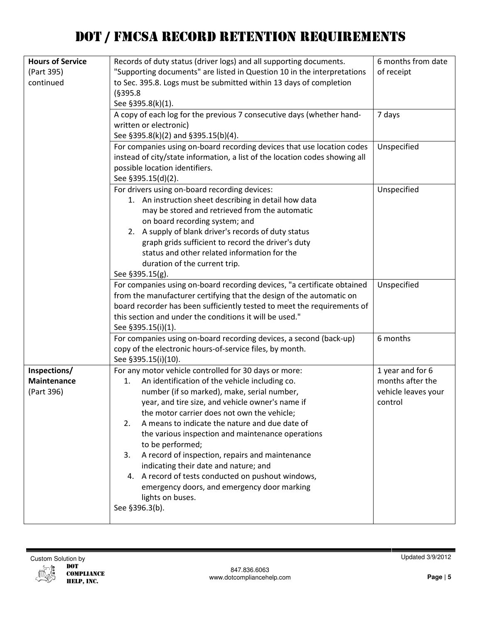| <b>Hours of Service</b> | Records of duty status (driver logs) and all supporting documents.          | 6 months from date  |
|-------------------------|-----------------------------------------------------------------------------|---------------------|
| (Part 395)              | "Supporting documents" are listed in Question 10 in the interpretations     | of receipt          |
| continued               | to Sec. 395.8. Logs must be submitted within 13 days of completion          |                     |
|                         | (§395.8)                                                                    |                     |
|                         | See §395.8(k)(1).                                                           |                     |
|                         | A copy of each log for the previous 7 consecutive days (whether hand-       | 7 days              |
|                         | written or electronic)                                                      |                     |
|                         | See §395.8(k)(2) and §395.15(b)(4).                                         |                     |
|                         | For companies using on-board recording devices that use location codes      | Unspecified         |
|                         | instead of city/state information, a list of the location codes showing all |                     |
|                         | possible location identifiers.                                              |                     |
|                         | See §395.15(d)(2).                                                          |                     |
|                         | For drivers using on-board recording devices:                               | Unspecified         |
|                         | 1. An instruction sheet describing in detail how data                       |                     |
|                         | may be stored and retrieved from the automatic                              |                     |
|                         | on board recording system; and                                              |                     |
|                         | 2. A supply of blank driver's records of duty status                        |                     |
|                         | graph grids sufficient to record the driver's duty                          |                     |
|                         | status and other related information for the                                |                     |
|                         | duration of the current trip.                                               |                     |
|                         | See §395.15(g).                                                             |                     |
|                         | For companies using on-board recording devices, "a certificate obtained     | Unspecified         |
|                         | from the manufacturer certifying that the design of the automatic on        |                     |
|                         | board recorder has been sufficiently tested to meet the requirements of     |                     |
|                         | this section and under the conditions it will be used."                     |                     |
|                         | See §395.15(i)(1).                                                          |                     |
|                         | For companies using on-board recording devices, a second (back-up)          | 6 months            |
|                         | copy of the electronic hours-of-service files, by month.                    |                     |
|                         | See §395.15(i)(10).                                                         |                     |
| Inspections/            | For any motor vehicle controlled for 30 days or more:                       | 1 year and for 6    |
| <b>Maintenance</b>      | An identification of the vehicle including co.<br>1.                        | months after the    |
| (Part 396)              | number (if so marked), make, serial number,                                 | vehicle leaves your |
|                         | year, and tire size, and vehicle owner's name if                            | control             |
|                         | the motor carrier does not own the vehicle;                                 |                     |
|                         | A means to indicate the nature and due date of<br>2.                        |                     |
|                         | the various inspection and maintenance operations                           |                     |
|                         | to be performed;                                                            |                     |
|                         | 3.<br>A record of inspection, repairs and maintenance                       |                     |
|                         | indicating their date and nature; and                                       |                     |
|                         | 4. A record of tests conducted on pushout windows,                          |                     |
|                         | emergency doors, and emergency door marking                                 |                     |
|                         | lights on buses.                                                            |                     |
|                         | See §396.3(b).                                                              |                     |